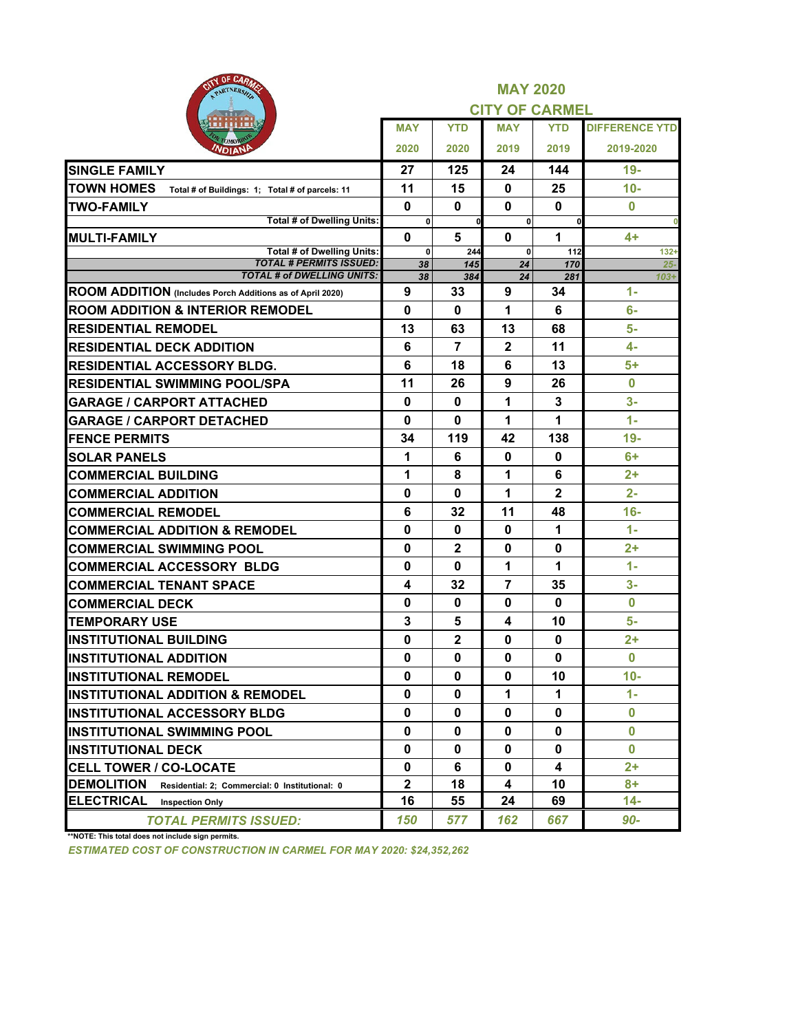| <b>PAIN OF CARAGE</b><br>PARTNERSHIP                                 |                    |                | <b>MAY 2020</b><br><b>CITY OF CARMEL</b> |                |                       |
|----------------------------------------------------------------------|--------------------|----------------|------------------------------------------|----------------|-----------------------|
|                                                                      | <b>MAY</b>         | <b>YTD</b>     | <b>MAY</b>                               | <b>YTD</b>     | <b>DIFFERENCE YTD</b> |
| эмо<br>VDIANI                                                        | 2020               | 2020           | 2019                                     | 2019           | 2019-2020             |
| <b>SINGLE FAMILY</b>                                                 | 27                 | 125            | 24                                       | 144            | $19-$                 |
| <b>TOWN HOMES</b><br>Total # of Buildings: 1; Total # of parcels: 11 | 11                 | 15             | $\mathbf 0$                              | 25             | $10-$                 |
| <b>ITWO-FAMILY</b>                                                   | $\bf{0}$           | 0              | 0                                        | $\mathbf{0}$   | $\mathbf{0}$          |
| <b>Total # of Dwelling Units:</b>                                    | $\mathbf 0$        | $\mathbf{0}$   | $\mathbf 0$                              | $\mathbf{0}$   |                       |
| <b>MULTI-FAMILY</b><br><b>Total # of Dwelling Units:</b>             | $\bf{0}$           | 5              | $\mathbf{0}$                             | 1              | 4+                    |
| <b>TOTAL # PERMITS ISSUED:</b>                                       | $\mathbf{0}$<br>38 | 244<br>145     | $\mathbf{0}$<br>24                       | 112<br>170     | $132 +$<br>$25 -$     |
| <b>TOTAL # of DWELLING UNITS:</b>                                    | 38                 | 384            | 24                                       | 281            | $103+$                |
| ROOM ADDITION (Includes Porch Additions as of April 2020)            | 9                  | 33             | 9                                        | 34             | $1 -$                 |
| <b>ROOM ADDITION &amp; INTERIOR REMODEL</b>                          | 0                  | 0              | 1                                        | 6              | 6-                    |
| <b>RESIDENTIAL REMODEL</b>                                           | 13                 | 63             | 13                                       | 68             | $5-$                  |
| <b>RESIDENTIAL DECK ADDITION</b>                                     | 6                  | $\overline{7}$ | $\overline{2}$                           | 11             | 4-                    |
| <b>RESIDENTIAL ACCESSORY BLDG.</b>                                   | 6                  | 18             | 6                                        | 13             | 5+                    |
| <b>RESIDENTIAL SWIMMING POOL/SPA</b>                                 | 11                 | 26             | 9                                        | 26             | $\bf{0}$              |
| <b>GARAGE / CARPORT ATTACHED</b>                                     | $\bf{0}$           | $\mathbf{0}$   | 1                                        | 3              | $3-$                  |
| <b>GARAGE / CARPORT DETACHED</b>                                     | $\mathbf{0}$       | $\mathbf{0}$   | 1                                        | 1              | $1 -$                 |
| <b>FENCE PERMITS</b>                                                 | 34                 | 119            | 42                                       | 138            | $19-$                 |
| <b>SOLAR PANELS</b>                                                  | 1                  | 6              | 0                                        | 0              | 6+                    |
| <b>COMMERCIAL BUILDING</b>                                           | 1                  | 8              | 1                                        | 6              | $2+$                  |
| <b>COMMERCIAL ADDITION</b>                                           | 0                  | $\mathbf{0}$   | 1                                        | $\overline{2}$ | $2 -$                 |
| <b>COMMERCIAL REMODEL</b>                                            | 6                  | 32             | 11                                       | 48             | $16 -$                |
| <b>COMMERCIAL ADDITION &amp; REMODEL</b>                             | $\mathbf 0$        | $\mathbf{0}$   | $\mathbf 0$                              | 1              | $1 -$                 |
| <b>COMMERCIAL SWIMMING POOL</b>                                      | $\mathbf{0}$       | $\overline{2}$ | $\mathbf{0}$                             | $\mathbf{0}$   | $2+$                  |
| <b>COMMERCIAL ACCESSORY BLDG</b>                                     | 0                  | 0              | 1                                        | 1              | $1 -$                 |
| <b>COMMERCIAL TENANT SPACE</b>                                       | 4                  | 32             | 7                                        | 35             | $3-$                  |
| <b>COMMERCIAL DECK</b>                                               | 0                  | $\mathbf 0$    | $\mathbf 0$                              | $\bf{0}$       | $\bf{0}$              |
| <b>TEMPORARY USE</b>                                                 | 3                  | 5              | 4                                        | 10             | 5-                    |
| <b>INSTITUTIONAL BUILDING</b>                                        | $\mathbf 0$        | $\mathbf{2}$   | $\mathbf{0}$                             | 0              | $2+$                  |
| <b>INSTITUTIONAL ADDITION</b>                                        | $\Omega$           | $\mathbf{0}$   | 0                                        | $\mathbf{0}$   | $\mathbf{0}$          |
| <b>INSTITUTIONAL REMODEL</b>                                         | $\mathbf{0}$       | $\mathbf{0}$   | $\mathbf{0}$                             | 10             | $10-$                 |
| <b>INSTITUTIONAL ADDITION &amp; REMODEL</b>                          | 0                  | $\mathbf 0$    | 1                                        | 1.             | $1 -$                 |
| <b>INSTITUTIONAL ACCESSORY BLDG</b>                                  | 0                  | 0              | 0                                        | 0              | $\mathbf 0$           |
| <b>INSTITUTIONAL SWIMMING POOL</b>                                   | $\mathbf{0}$       | $\mathbf{0}$   | $\mathbf 0$                              | 0              | $\mathbf{0}$          |
| <b>INSTITUTIONAL DECK</b>                                            | 0                  | $\mathbf 0$    | 0                                        | 0              | $\mathbf{0}$          |
| <b>CELL TOWER / CO-LOCATE</b>                                        | 0                  | 6              | 0                                        | 4              | $2+$                  |
| <b>DEMOLITION</b><br>Residential: 2; Commercial: 0 Institutional: 0  | $\mathbf{2}$       | 18             | 4                                        | 10             | 8+                    |
| <b>ELECTRICAL</b><br><b>Inspection Only</b>                          | 16                 | 55             | 24                                       | 69             | 14-                   |
| <b>TOTAL PERMITS ISSUED:</b>                                         | 150                | 577            | 162                                      | 667            | 90-                   |

**\*\*NOTE: This total does not include sign permits.**

*ESTIMATED COST OF CONSTRUCTION IN CARMEL FOR MAY 2020: \$24,352,262*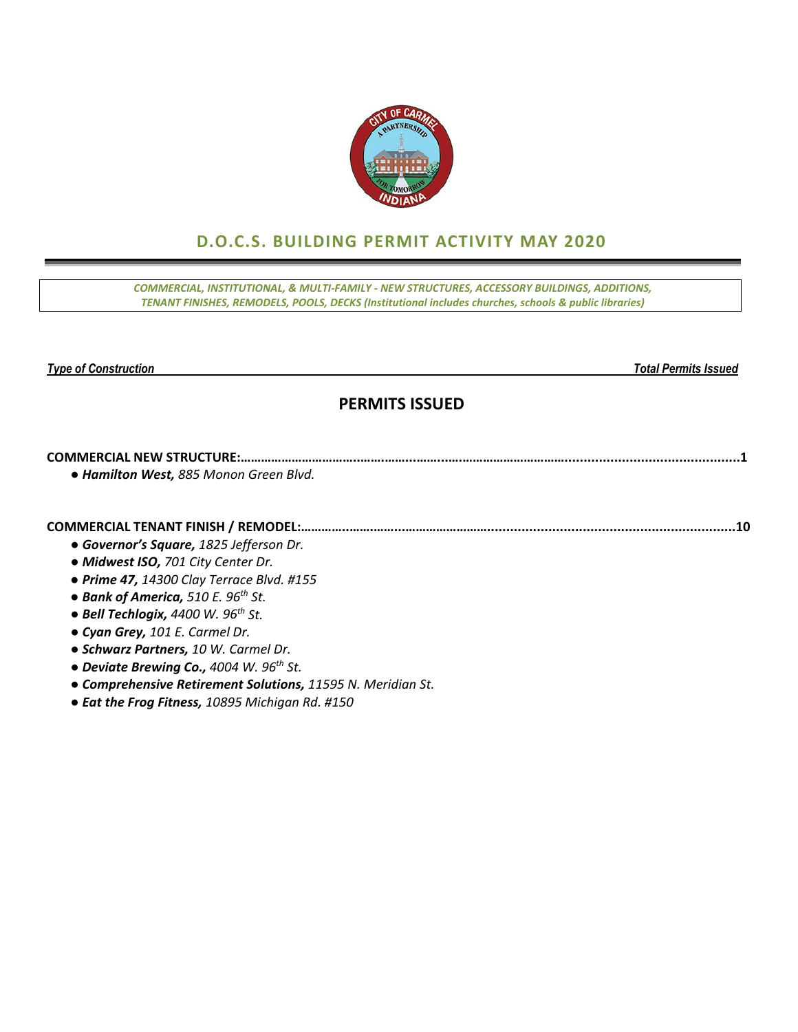

# **D.O.C.S. BUILDING PERMIT ACTIVITY MAY 2020**

*COMMERCIAL, INSTITUTIONAL, & MULTI‐FAMILY ‐ NEW STRUCTURES, ACCESSORY BUILDINGS, ADDITIONS, TENANT FINISHES, REMODELS, POOLS, DECKS (Institutional includes churches, schools & public libraries)*

*Type of Construction Total Permits Issued* 

## **PERMITS ISSUED**

### **COMMERCIAL NEW STRUCTURE:……………………………..…….……...……...….…………………………..............................................1** *● Hamilton West, 885 Monon Green Blvd.*

**COMMERCIAL TENANT FINISH / REMODEL:…………..…….……...…………………….................................................................10**

- *● Governor's Square, 1825 Jefferson Dr.*
- *● Midwest ISO, 701 City Center Dr.*
- *● Prime 47, 14300 Clay Terrace Blvd. #155*
- *● Bank of America, 510 E. 96th St.*
- *● Bell Techlogix, 4400 W. 96th St.*
- *● Cyan Grey, 101 E. Carmel Dr.*
- *● Schwarz Partners, 10 W. Carmel Dr.*
- *● Deviate Brewing Co., 4004 W. 96th St.*
- *● Comprehensive Retirement Solutions, 11595 N. Meridian St.*
- *● Eat the Frog Fitness, 10895 Michigan Rd. #150*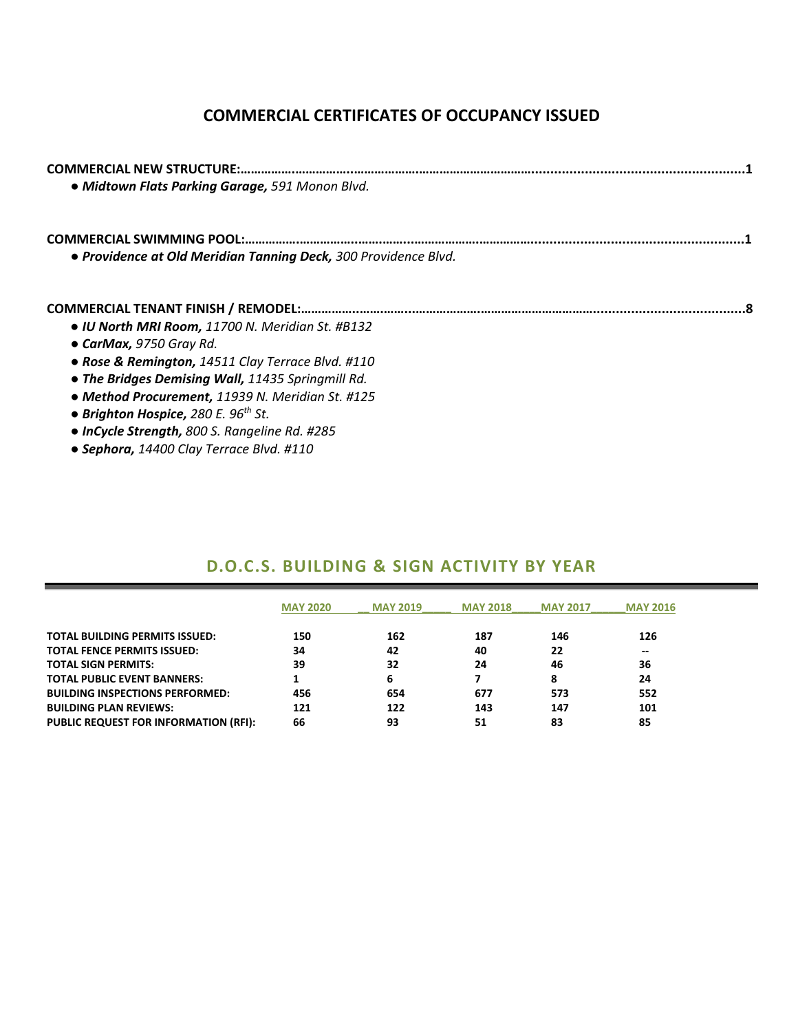## **COMMERCIAL CERTIFICATES OF OCCUPANCY ISSUED**

| · Midtown Flats Parking Garage, 591 Monon Blvd.                 |
|-----------------------------------------------------------------|
|                                                                 |
| • Providence at Old Meridian Tanning Deck, 300 Providence Blvd. |
|                                                                 |
| • IU North MRI Room, 11700 N. Meridian St. #B132                |
| • CarMax, 9750 Gray Rd.                                         |
| • Rose & Remington, 14511 Clay Terrace Blvd. #110               |
| • The Bridges Demising Wall, 11435 Springmill Rd.               |
| • Method Procurement, 11939 N. Meridian St. #125                |
| • Brighton Hospice, 280 E. $96th$ St.                           |
| • InCycle Strength, 800 S. Rangeline Rd. #285                   |

*● Sephora, 14400 Clay Terrace Blvd. #110*

### **D.O.C.S. BUILDING & SIGN ACTIVITY BY YEAR**

|                                              | <b>MAY 2020</b> | <b>MAY 2019</b> | <b>MAY 2018</b> | <b>MAY 2017</b> | <b>MAY 2016</b> |
|----------------------------------------------|-----------------|-----------------|-----------------|-----------------|-----------------|
| <b>TOTAL BUILDING PERMITS ISSUED:</b>        | 150             | 162             | 187             | 146             | 126             |
| <b>TOTAL FENCE PERMITS ISSUED:</b>           | 34              | 42              | 40              | 22              | --              |
| <b>TOTAL SIGN PERMITS:</b>                   | 39              | 32              | 24              | 46              | 36              |
| <b>TOTAL PUBLIC EVENT BANNERS:</b>           |                 | 6               |                 | 8               | 24              |
| <b>BUILDING INSPECTIONS PERFORMED:</b>       | 456             | 654             | 677             | 573             | 552             |
| <b>BUILDING PLAN REVIEWS:</b>                | 121             | 122             | 143             | 147             | 101             |
| <b>PUBLIC REQUEST FOR INFORMATION (RFI):</b> | 66              | 93              | 51              | 83              | 85              |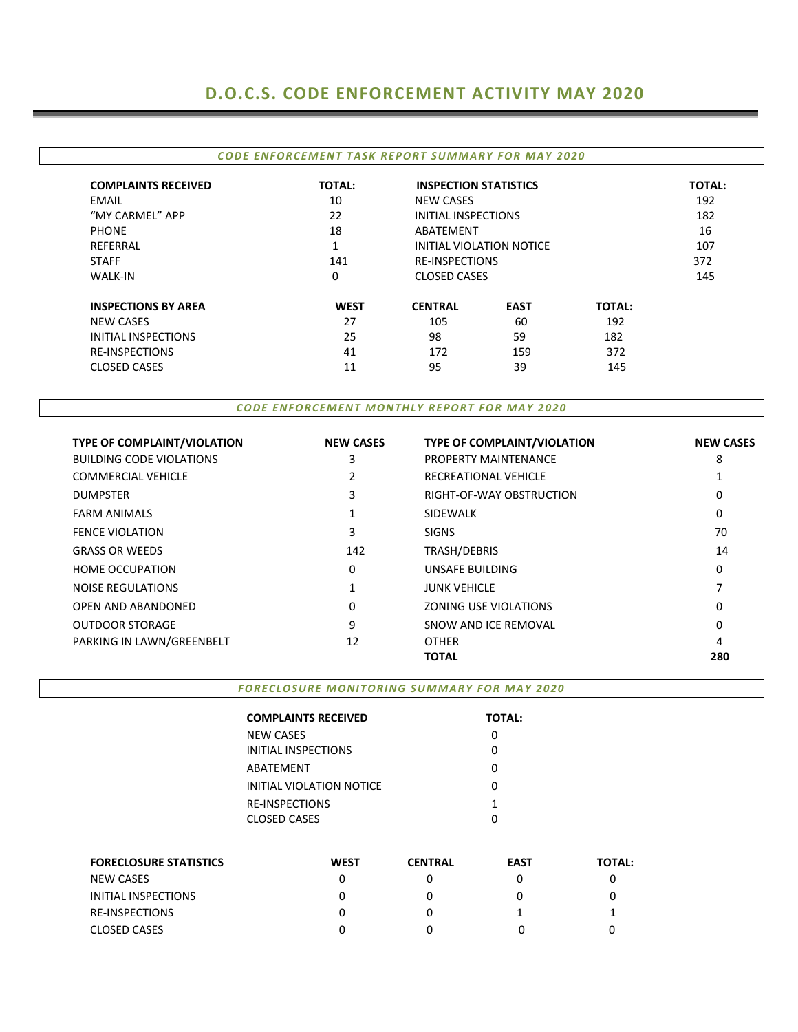### **D.O.C.S. CODE ENFORCEMENT ACTIVITY MAY 2020**

#### *CODE ENFORCEMENT TASK REPORT SUMMARY FOR MAY 2020*

| <b>COMPLAINTS RECEIVED</b> | <b>TOTAL:</b>  | <b>INSPECTION STATISTICS</b> |                          |               | <b>TOTAL:</b> |
|----------------------------|----------------|------------------------------|--------------------------|---------------|---------------|
| EMAIL                      | 10             | NEW CASES                    |                          |               | 192           |
| "MY CARMEL" APP            | 22             | INITIAL INSPECTIONS          |                          |               | 182           |
| <b>PHONE</b>               | 18             | ABATFMFNT                    |                          |               |               |
| REFERRAL                   | $\overline{ }$ |                              | INITIAL VIOLATION NOTICE |               |               |
| <b>STAFF</b>               | 141            |                              | <b>RE-INSPECTIONS</b>    |               |               |
| <b>WALK-IN</b>             | 0              |                              | <b>CLOSED CASES</b>      |               |               |
| <b>INSPECTIONS BY AREA</b> | <b>WEST</b>    | <b>CENTRAL</b>               | <b>EAST</b>              | <b>TOTAL:</b> |               |
| <b>NEW CASES</b>           | 27             | 105                          | 60                       | 192           |               |
| INITIAL INSPECTIONS        | 25             | 98                           | 59                       | 182           |               |
| <b>RE-INSPECTIONS</b>      | 41             | 172                          | 159                      | 372           |               |
| <b>CLOSED CASES</b>        | 11             | 95                           | 39                       | 145           |               |

*CODE ENFORCEMENT MONTHLY REPORT FOR MAY 2020*

| <b>TYPE OF COMPLAINT/VIOLATION</b> | <b>NEW CASES</b> | <b>TYPE OF COMPLAINT/VIOLATION</b> | <b>NEW CASES</b> |
|------------------------------------|------------------|------------------------------------|------------------|
| <b>BUILDING CODE VIOLATIONS</b>    | 3                | PROPERTY MAINTENANCE               | 8                |
| <b>COMMERCIAL VEHICLE</b>          |                  | RECREATIONAL VEHICLE               |                  |
| <b>DUMPSTER</b>                    | 3                | RIGHT-OF-WAY OBSTRUCTION           | 0                |
| <b>FARM ANIMALS</b>                |                  | <b>SIDEWALK</b>                    | 0                |
| <b>FENCE VIOLATION</b>             | 3                | <b>SIGNS</b>                       | 70               |
| <b>GRASS OR WEEDS</b>              | 142              | TRASH/DEBRIS                       | 14               |
| <b>HOME OCCUPATION</b>             | 0                | UNSAFE BUILDING                    | 0                |
| <b>NOISE REGULATIONS</b>           | 1                | <b>JUNK VEHICLE</b>                |                  |
| OPEN AND ABANDONED                 | 0                | ZONING USE VIOLATIONS              | 0                |
| <b>OUTDOOR STORAGE</b>             | 9                | SNOW AND ICE REMOVAL               | 0                |
| PARKING IN LAWN/GREENBELT          | 12               | <b>OTHER</b>                       | 4                |
|                                    |                  | TOTAL                              | 280              |

*FORECLOSURE MONITORING SUMMARY FOR MAY 2020*

| <b>COMPLAINTS RECEIVED</b> | <b>TOTAL:</b> |
|----------------------------|---------------|
| NEW CASES                  | 0             |
| INITIAL INSPECTIONS        | O             |
| ABATEMENT                  | O             |
| INITIAL VIOLATION NOTICE   | O             |
| <b>RE-INSPECTIONS</b>      | 1             |
| CLOSED CASES               |               |

| <b>FORECLOSURE STATISTICS</b> | <b>WEST</b> | <b>CENTRAL</b> | <b>EAST</b> | <b>TOTAL:</b> |
|-------------------------------|-------------|----------------|-------------|---------------|
| NEW CASES                     |             |                |             |               |
| INITIAL INSPECTIONS           |             |                |             |               |
| <b>RE-INSPECTIONS</b>         |             |                |             |               |
| CLOSED CASES                  |             |                |             |               |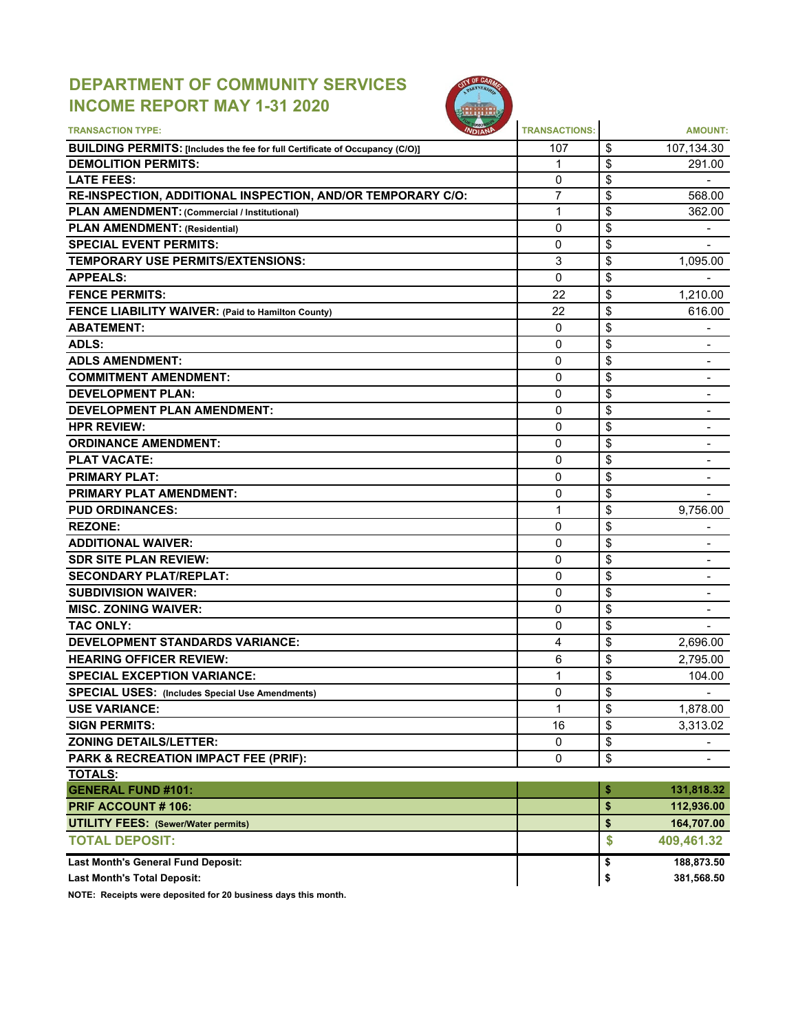## **DEPARTMENT OF COMMUNITY SERVICES INCOME REPORT MAY 1-31 2020**



| <b>TRANSACTION TYPE:</b>                                                     | <b>TRANSACTIONS:</b> |          | <b>AMOUNT:</b>           |
|------------------------------------------------------------------------------|----------------------|----------|--------------------------|
| BUILDING PERMITS: [Includes the fee for full Certificate of Occupancy (C/O)] | 107                  | \$       | 107,134.30               |
| <b>DEMOLITION PERMITS:</b>                                                   | 1                    | \$       | 291.00                   |
| <b>LATE FEES:</b>                                                            | $\mathbf{0}$         | \$       |                          |
| RE-INSPECTION, ADDITIONAL INSPECTION, AND/OR TEMPORARY C/O:                  | $\overline{7}$       | \$       | 568.00                   |
| PLAN AMENDMENT: (Commercial / Institutional)                                 | 1                    | \$       | 362.00                   |
| <b>PLAN AMENDMENT: (Residential)</b>                                         | 0                    | \$       |                          |
| <b>SPECIAL EVENT PERMITS:</b>                                                | 0                    | \$       |                          |
| <b>TEMPORARY USE PERMITS/EXTENSIONS:</b>                                     | 3                    | \$       | 1,095.00                 |
| <b>APPEALS:</b>                                                              | $\mathbf{0}$         | \$       |                          |
| <b>FENCE PERMITS:</b>                                                        | 22                   | \$       | 1,210.00                 |
| <b>FENCE LIABILITY WAIVER: (Paid to Hamilton County)</b>                     | 22                   | \$       | 616.00                   |
| <b>ABATEMENT:</b>                                                            | 0                    | \$       |                          |
| ADLS:                                                                        | $\mathbf{0}$         | \$       |                          |
| <b>ADLS AMENDMENT:</b>                                                       | 0                    | \$       |                          |
| <b>COMMITMENT AMENDMENT:</b>                                                 | 0                    | \$       | $\blacksquare$           |
| <b>DEVELOPMENT PLAN:</b>                                                     | 0                    | \$       | $\blacksquare$           |
| <b>DEVELOPMENT PLAN AMENDMENT:</b>                                           | 0                    | \$       |                          |
| <b>HPR REVIEW:</b>                                                           | 0                    | \$       |                          |
| <b>ORDINANCE AMENDMENT:</b>                                                  | 0                    | \$       |                          |
| <b>PLAT VACATE:</b>                                                          | 0                    | \$       |                          |
| <b>PRIMARY PLAT:</b>                                                         | 0                    | \$       |                          |
| <b>PRIMARY PLAT AMENDMENT:</b>                                               | 0                    | \$       |                          |
| <b>PUD ORDINANCES:</b>                                                       | 1                    | \$       | 9,756.00                 |
| <b>REZONE:</b>                                                               | 0                    | \$       | $\overline{\phantom{a}}$ |
| <b>ADDITIONAL WAIVER:</b>                                                    | 0                    | \$       | $\blacksquare$           |
| <b>SDR SITE PLAN REVIEW:</b>                                                 | 0                    | \$       |                          |
| <b>SECONDARY PLAT/REPLAT:</b>                                                | 0                    | \$       |                          |
| <b>SUBDIVISION WAIVER:</b>                                                   | 0                    | \$       |                          |
| <b>MISC. ZONING WAIVER:</b>                                                  | 0                    | \$       |                          |
| <b>TAC ONLY:</b>                                                             | 0                    | \$       |                          |
| <b>DEVELOPMENT STANDARDS VARIANCE:</b>                                       | 4                    | \$       | 2,696.00                 |
| <b>HEARING OFFICER REVIEW:</b>                                               | 6                    | \$       | 2,795.00                 |
| <b>SPECIAL EXCEPTION VARIANCE:</b>                                           | 1                    | \$       | 104.00                   |
| <b>SPECIAL USES:</b> (Includes Special Use Amendments)                       | 0                    | \$       |                          |
|                                                                              |                      |          |                          |
| <b>USE VARIANCE:</b>                                                         | 1<br>16              | \$<br>\$ | 1,878.00                 |
| <b>SIGN PERMITS:</b>                                                         |                      |          | 3,313.02                 |
| <b>ZONING DETAILS/LETTER:</b>                                                | 0                    | \$       |                          |
| PARK & RECREATION IMPACT FEE (PRIF):                                         | $\mathbf 0$          | \$       |                          |
| <b>TOTALS:</b>                                                               |                      |          |                          |
| <b>GENERAL FUND #101:</b>                                                    |                      | \$       | 131,818.32               |
| <b>PRIF ACCOUNT #106:</b>                                                    |                      | \$       | 112,936.00               |
| <b>UTILITY FEES: (Sewer/Water permits)</b>                                   |                      | \$       | 164,707.00               |
| <b>TOTAL DEPOSIT:</b>                                                        |                      | \$       | 409,461.32               |
| Last Month's General Fund Deposit:                                           |                      | \$       | 188,873.50               |
| <b>Last Month's Total Deposit:</b>                                           |                      | \$       | 381,568.50               |

**NOTE: Receipts were deposited for 20 business days this month.**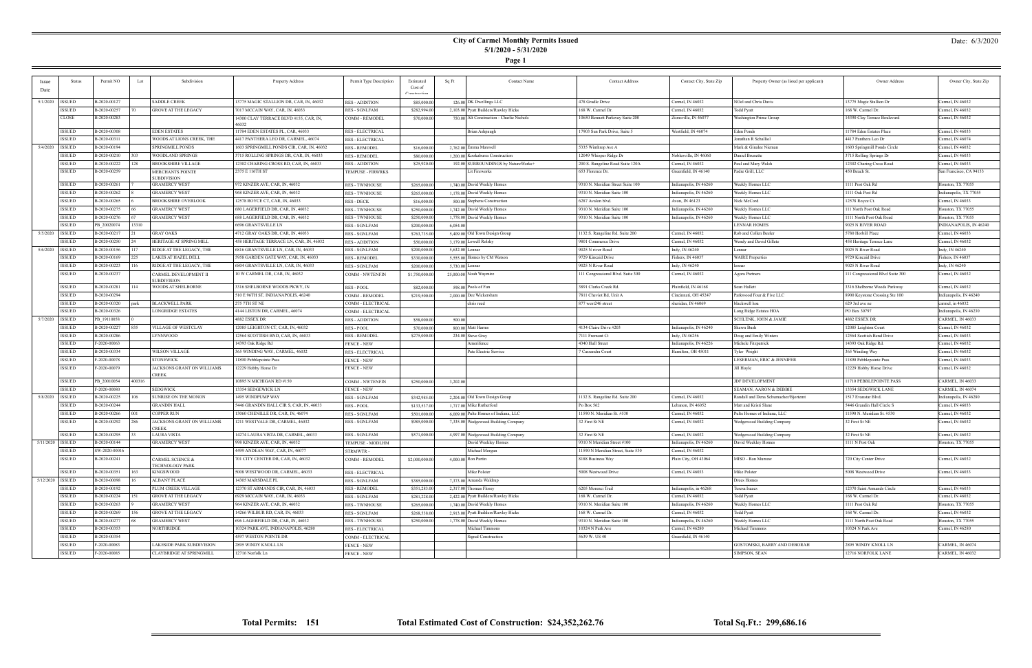### **City of Carmel Monthly Permits Issued 5/1/2020 - 5/31/2020**

**Page 1**

### Date: 6/3/2020

| <b>Issue</b>       | <b>Status</b> | Permit NO     | Subdivision<br>Lot                                | Property Address                                | Permit Type Description | Estimated      | Sq Ft           | <b>Contact Name</b>                       | <b>Contact Address</b>             | Contact City, State Zip | Property Owner (as listed per applicant) | Owner Address                    | Owner City, State Zip   |
|--------------------|---------------|---------------|---------------------------------------------------|-------------------------------------------------|-------------------------|----------------|-----------------|-------------------------------------------|------------------------------------|-------------------------|------------------------------------------|----------------------------------|-------------------------|
| Date               |               |               |                                                   |                                                 |                         | Cost of        |                 |                                           |                                    |                         |                                          |                                  |                         |
|                    |               |               |                                                   |                                                 |                         |                |                 |                                           |                                    |                         |                                          |                                  |                         |
| 5/1/2020   ISSUED  |               | B-2020-00127  | SADDLE CREEK                                      | 3775 MAGIC STALLION DR, CAR, IN, 46032          | <b>RES - ADDITION</b>   | \$85,000.00    |                 | 126.00 DK Dwellings LLC                   | 478 Gradle Drive                   | Carmel, IN 46032        | NOel and Chris Davis                     | 13775 Magic Stallion Dr          | Carmel, IN 46032        |
|                    | <b>ISSUED</b> | B-2020-00257  | <b>GROVE AT THE LEGACY</b>                        | 7017 MCCAIN WAY, CAR, IN, 46033                 | <b>RES - SGNLFAM</b>    | \$282,994.00   |                 | 2,103.00 Pyatt Builders/Rawley Hicks      | 168 W. Carmel Dr.                  | Carmel, IN 46032        | Todd Pyatt                               | 168 W. Carmel Dr.                | Carmel, IN 46032        |
|                    | CLOSE         | B-2020-00283  |                                                   | 14300 CLAY TERRACE BLVD #155, CAR, IN,<br>46032 | <b>COMM - REMODEL</b>   | \$70,000.00    |                 | 750.00 Alt Construction - Charlie Nichols | 10650 Bennett Parkway Suite 200    | Zionsville, IN 46077    | Washington Prime Group                   | 14390 Clay Terrace Boulevard     | Carmel, IN 46032        |
|                    | <b>ISSUED</b> | B-2020-00308  | EDEN ESTATES                                      | 1784 EDEN ESTATES PL, CAR, 46033                | <b>RES - ELECTRICAL</b> |                |                 | Brian Ashpaugh                            | 17903 Sun Park Drive, Suite 5      | Westfield, IN 46074     | Eden Ponds                               | 11784 Eden Estates Place         | Carmel, IN 46033        |
|                    | <b>ISSUED</b> | B-2020-00311  | WOODS AT LIONS CREEK, THE                         | 4417 PANTHERA LEO DR, CARMEL, 46074             | <b>RES - ELECTRICAL</b> |                |                 |                                           |                                    |                         | Jonathan R Schalliol                     | 4417 Panthera Leo Dr             | Carmel, IN 46074        |
| 5/4/2020   ISSUED  |               | B-2020-00194  | SPRINGMILL PONDS                                  | 1603 SPRINGMILL PONDS CIR, CAR, IN, 46032       | <b>RES - REMODEL</b>    | \$16,000.00    |                 | 2,762.00 Emma Maxwell                     | 5335 Winthrop Ave A                |                         | Mark & Ginalee Nieman                    | 1603 Springmill Ponds Circle     | Carmel, IN 46032        |
|                    | <b>ISSUED</b> | B-2020-00210  | WOODLAND SPRINGS                                  | 3715 ROLLING SPRINGS DR, CAR, IN, 46033         | <b>RES - REMODEL</b>    | \$80,000.00    |                 | 1,200.00 Kookaburra Construction          | 12049 Whisper Ridge Dr             | Noblesville, IN 46060   | Daniel Brunette                          | 3715 Rolling Springs Dr          | Carmel, IN 46033        |
|                    | <b>ISSUED</b> | B-2020-00222  | <b>BROOKSHIRE VILLAGE</b><br>128                  | 2302 CHARING CROSS RD, CAR, IN, 46033           | <b>RES - ADDITION</b>   | \$25,920.00    |                 | 192.00 SURROUNDINGS by NatureWorks+       | 200 S. Rangeline Road Suite 120A   | Carmel, IN 46032        | Paul and Mary Walsh                      | 12302 Charing Cross Road         | Carmel, IN 46033        |
|                    | <b>ISSUED</b> | B-2020-00259  | MERCHANTS POINTE<br><b>SUBDIVISION</b>            | 2375 E 116TH ST                                 | TEMPUSE - FIRWRKS       |                |                 | Lit Fireworks                             | 653 Florence Dr.                   | Greenfield, IN 46140    | Padre Grill, LLC                         | 450 Beach St.                    | San Francisco, CA 94133 |
|                    | <b>ISSUED</b> | B-2020-00261  | <b>GRAMERCY WEST</b>                              | 972 KINZER AVE, CAR, IN, 46032                  | <b>RES - TWNHOUSE</b>   | \$265,000.00   |                 | 1,740.00 David Weekly Homes               | 9310 N. Meridian Street Suite 100  | Indianapolis, IN 46260  | Weekly Homes LLC                         | 1111 Post Oak Rd                 | Iouston, TX 77055       |
|                    | <b>ISSUED</b> | B-2020-00262  | <b>GRAMERCY WEST</b>                              | 968 KINZER AVE, CAR, IN, 46032                  | <b>RES - TWNHOUSE</b>   | \$265,000.00   |                 | 1,178.00 David Weekly Homes               | 9310 N. Meridian Suite 100         | Indianapolis, IN 46260  | Weekly Homes LLC                         | 1111 Oak Post Rd                 | Indianapolis, TX 77055  |
|                    | <b>ISSUED</b> | B-2020-00265  | BROOKSHIRE OVERLOOK                               | 12578 ROYCE CT, CAR, IN, 46033                  | <b>RES - DECK</b>       | \$16,000.00    |                 | 500.00 Stephens Construction              | 6287 Avalon blvd.                  | Avon, IN 46123          | Nick McCord                              | 12578 Royce Ct.                  | Carmel, IN 46033        |
|                    | <b>ISSUED</b> | B-2020-00275  | <b>GRAMERCY WEST</b>                              | 680 LAGERFIELD DR, CAR, IN, 46032               | <b>RES - TWNHOUSE</b>   | \$250,000.00   |                 | 1,742.00 David Weekly Homes               | 9310 N. Meridian Suite 100         | Indianapolis, IN 46260  | Weekly Homes LLC                         | 111 North Post Oak Road          | Iouston, TX 77055       |
|                    | <b>ISSUED</b> | B-2020-00276  | GRAMERCY WEST                                     | 688 LAGERFIELD DR, CAR, IN, 46032               | <b>RES - TWNHOUSE</b>   | \$250,000.00   |                 | 1,778.00 David Weekly Homes               | 9310 N. Meridian Suite 100         | Indianapolis, IN 46260  | Weekly Homes LLC                         | 1111 North Post Oak Road         | Houston, TX 77055       |
|                    | <b>ISSUED</b> | PB 20020074   | 13310                                             | 6696 GRANTSVILLE LN                             | RES - SGNLFAM           | \$200,000.00   | 6,054.00        |                                           |                                    |                         | <b>LENNAR HOMES</b>                      | 9025 N RIVER ROAD                | INDIANAPOLIS, IN 46240  |
| 5/5/2020   ISSUED  |               | B-2020-00217  | GRAY OAKS                                         | 4712 GRAY OAKS DR, CAR, IN, 46033               | <b>RES - SGNLFAM</b>    | \$763,735.00   |                 | 5,409.00 Old Town Design Group            | 1132 S. Rangeline Rd. Suite 200    | Carmel, IN 46032        | Rob and Collen Beeler                    | 5780 Horbill Place               | Carmel, IN 46033        |
|                    | <b>ISSUED</b> | B-2020-00250  | HERITAGE AT SPRING MILL                           | 458 HERITAGE TERRACE LN, CAR, IN, 46032         | <b>RES - ADDITION</b>   | \$50,000.00    |                 | 3,179.00 Lowell Rolsky                    | 9801 Commerce Drive                | Carmel, IN 46032        | Wendy and David Gillete                  | 458 Heritage Terrace Lane        | Carmel, IN 46032        |
| 5/6/2020 ISSUED    |               | B-2020-00156  | RIDGE AT THE LEGACY, THE                          | 6816 GRANTSVILLE LN, CAR, IN, 46033             | <b>RES - SGNLFAM</b>    | \$200,000.00   | 5,632.00 Lennar |                                           | 9025 N river Road                  | Indy, IN 46240          | Lennar                                   | 9025 N River Road                | Indy, IN 46240          |
|                    | <b>ISSUED</b> | B-2020-00169  | LAKES AT HAZEL DELI                               | 5958 GARDEN GATE WAY, CAR, IN, 46033            |                         |                |                 | 5,555.00 Homes by CM Watson               | 9729 Kincaid Drive                 | Fishers, IN 46037       | <b>WAIRE</b> Properties                  | 9729 Kincaid Drive               | Fishers, IN 46037       |
|                    | <b>ISSUED</b> | B-2020-00223  | RIDGE AT THE LEGACY, THE<br>16                    | 6804 GRANTSVILLE LN, CAR, IN, 46033             | <b>RES - REMODEL</b>    | \$330,000.00   |                 |                                           | 9025 N River Road                  |                         |                                          | 9025 N River Road                | Indy, IN 46240          |
|                    |               |               |                                                   |                                                 | RES - SGNLFAM           | \$200,000.00   | 5,730.00 Lennar |                                           |                                    | Indy, IN 46240          | ennar                                    |                                  |                         |
|                    | <b>ISSUED</b> | B-2020-00237  | CARMEL DEVELOPMENT II<br>UBDIVISION               | 10 W CARMEL DR, CAR, IN, 46032                  | COMM - NWTENFIN         | \$1,750,000.00 |                 | 25,000.00 Noah Waymire                    | 111 Congressional Blvd. Suite 300  | Carmel, IN 46032        | Agora Partners                           | 111 Congressional Blvd Suite 300 | Carmel, IN 46032        |
|                    | <b>ISSUED</b> | B-2020-00281  | WOODS AT SHELBORNE                                | 3316 SHELBORNE WOODS PKWY, IN                   | <b>RES - POOL</b>       | \$82,000.00    |                 | 598.00 Pools of Fun                       | 3891 Clarks Creek Rd.              | Plainfield, IN 46168    | Sean Hallett                             | 3316 Shelborne Woods Parkway     | Carmel, IN 46032        |
|                    | <b>ISSUED</b> | B-2020-00294  |                                                   | 510 E 96TH ST, INDIANAPOLIS, 46240              | COMM - REMODEL          | \$219,500.00   |                 | 2,000,00 Dee Wickersham                   | 7811 Cheviot Rd, Unit A            | Cincinnati, OH 45247    | Parkwood Four & Five LLC                 | 8900 Keystone Crossing Ste 100   | Indianapolis, IN 46240  |
|                    | <b>ISSUED</b> | B-2020-00320  | BLACKWELL PARK<br>oark                            | 275 7TH ST NE                                   | COMM - ELECTRICAL       |                |                 | chris reed                                | 877 west246 street                 | sheridan, IN 46069      | blackwell hoa                            | 629 3rd ave ne                   | carmel, in 46032        |
|                    | <b>ISSUED</b> | B-2020-00326  | <b>LONGRIDGE ESTATES</b>                          | 4144 LISTON DR, CARMEL, 46074                   | COMM - ELECTRICAL       |                |                 |                                           |                                    |                         | Long Ridge Estates HOA                   | PO Box 30797                     | Indianapolis, IN 46230  |
| 5/7/2020   ISSUED  |               | PB 19110058   |                                                   | 4882 ESSEX DR                                   | <b>RES - ADDITION</b>   | \$58,000.00    | 500.00          |                                           |                                    |                         | SCHLENK, JOHN & JAMIE                    | 4882 ESSEX DR                    | CARMEL, IN 46033        |
|                    | <b>ISSUED</b> | B-2020-00227  | VILLAGE OF WESTCLAY                               | 12085 LEIGHTON CT, CAR, IN, 46032               | <b>RES - POOL</b>       | \$70,000.00    |                 | 800.00 Matt Harms                         | 4134 Claire Drive #203             | Indianapolis, IN 46240  | Shawn Bush                               | 12085 Leighton Court             | Carmel, IN 46032        |
|                    | <b>ISSUED</b> | B-2020-00286  | LYNNWOOD                                          | 2564 SCOTTISH BND, CAR, IN, 46033               | <b>RES - REMODEI</b>    | \$275,000.00   |                 | 234.00 Steve Gray                         | 7111 Fremont Ct                    | Indy, IN 46256          | Doug and Emily Winters                   | 12564 Scottish Bend Drive        | Carmel, IN 46033        |
|                    | <b>ISSUED</b> | F-2020-00063  |                                                   | 14393 Oak Ridge Rd                              | <b>FENCE - NEW</b>      |                |                 | Amerifence                                | 4340 Hull Street                   | Indianapolis, IN 46226  | Michele Fitzpatrick                      | 14393 Oak Ridge Rd.              | Carmel, IN 46032        |
|                    | <b>ISSUED</b> | B-2020-00334  | WILSON VILLAGE                                    | 365 WINDING WAY, CARMEL, 46032                  | <b>RES - ELECTRICAL</b> |                |                 | Pate Electric Service                     | 7 Cassandra Court                  | Hamilton, OH 45011      | Tyler Wright                             | 365 Winding Way                  | Carmel, IN 46032        |
|                    | <b>ISSUED</b> | F-2020-00078  | STONEWICK                                         | 1890 Pebblepointe Pass                          | <b>FENCE - NEW</b>      |                |                 |                                           |                                    |                         | LESERMAN, ERIC & JENNIFER                | 11890 Pebblepointe Pass          | Carmel, IN 46033        |
|                    | <b>ISSUED</b> | F-2020-00079  | JACKSONS GRANT ON WILLIAMS<br>CREEK               | 12229 Hobby Horse Dr                            | <b>FENCE - NEW</b>      |                |                 |                                           |                                    |                         | Jill Hoyle                               | 12229 Hobby Horse Drive          | Carmel, IN 46032        |
|                    | <b>ISSUED</b> | PB 20010054   | 400316                                            | 0895 N MICHIGAN RD #150                         | <b>COMM - NWTENFIN</b>  | \$250,000.00   | 3,202.00        |                                           |                                    |                         | <b>JDF DEVELOPMENT</b>                   | 11710 PEBBLEPOINTE PASS          | CARMEL, IN 46033        |
|                    | <b>ISSUED</b> | F-2020-00080  | SEDGWICK                                          | 3354 SEDGEWICK LN                               | FENCE - NEW             |                |                 |                                           |                                    |                         | <b>SEAMAN, AARON &amp; DEBBIE</b>        | 13354 SEDGWICK LANE              | CARMEL, IN 46074        |
| 5/8/2020   ISSUED  |               | B-2020-00225  | SUNRISE ON THE MONON                              | 1495 WINDPUMP WAY                               | <b>RES - SGNLFAM</b>    | \$342,985.00   |                 | 2,204.00 Old Town Design Group            | 1132 S. Rangeline Rd. Suite 200    | Carmel, IN 46032        | Randall and Dena Schumacher/Bjortemt     | 1517 Evanstar Blvd.              | Indianapolis, IN 46280  |
|                    | <b>ISSUED</b> | B-2020-00244  | GRANDIN HALL                                      | 5446 GRANDIN HALL CIR S, CAR, IN, 46033         | RES - POOL              | \$133,537.00   |                 | 1,717.00 Mike Rutherford                  | Po Box 562                         | Lebanon, IN 46052       | Matt and Kristi Slane                    | 5446 Grandin Hall Circle S       | Carmel, IN 46033        |
|                    | <b>ISSUED</b> | B-2020-00266  | COPPER RUN                                        | 3060 CHENILLE DR, CAR, IN, 46074                | <b>RES - SGNLFAM</b>    | \$501,000.00   |                 | 6,009.00 Pulte Homes of Indiana, LLC      | 11590 N. Meridian St. #530         | Carmel, IN 46032        | Pulte Homes of Indiana, LLC              | 11590 N. Meridian St. #530       | Carmel, IN 46032        |
|                    | <b>ISSUED</b> | B-2020-00292  | JACKSONS GRANT ON WILLIAMS<br>CREEK               | 1211 WESTVALE DR, CARMEL, 46032                 | RES - SGNLFAM           | \$985,000.00   |                 | 7,335.00 Wedgewood Building Company       | 32 First St NE                     | Carmel, IN 46032        | Wedgewood Building Company               | 32 First St NE                   | Carmel, IN 46032        |
|                    | <b>ISSUED</b> | B-2020-00295  | LAURA VISTA                                       | 4274 LAURA VISTA DR, CARMEL, 46033              | <b>RES - SGNLFAM</b>    | \$571,000.00   |                 | 4,997.00 Wedgewood Building Company       | 32 First St NE                     | Carmel, IN 46032        | Wedgewood Building Company               | 32 First St NE                   | Carmel, IN 46032        |
| 5/11/2020   ISSUED |               | B-2020-00144  | <b>GRAMERCY WEST</b>                              | 998 KINZER AVE, CAR, IN, 46032                  | TEMPUSE - MODLHM        |                |                 | David Weekley Homes                       | 9310 N Meridian Street #100        | Indianapolis, IN 46260  | David Weekley Homes                      | 1111 N Post Oak                  | Iouston, TX 77055       |
|                    | <b>ISSUED</b> | SW-2020-00016 |                                                   | 4499 ANDEAN WAY, CAR, IN, 46077                 | STRMWTR-                |                |                 | Michael Morgan                            | 11590 N Meridian Street, Suite 530 | Carmel, IN 46032        |                                          |                                  |                         |
|                    | <b>ISSUED</b> | B-2020-00241  | CARMEL SCIENCE &<br><b><i>TECHNOLOGY PARK</i></b> | 701 CITY CENTER DR, CAR, IN, 46032              | COMM - REMODEL          | \$2,000,000.00 |                 | 4,000.00 Ron Partin                       | 8188 Business Way                  | Plain City, OH 43064    | MISO - Ron Mumaw                         | 720 City Center Drive            | Carmel, IN 46032        |
|                    | <b>ISSUED</b> | B-2020-00351  | <b>KINGSWOOD</b>                                  | 5008 WESTWOOD DR, CARMEL, 46033                 | <b>RES - ELECTRICAL</b> |                |                 | Mike Polster                              | 5008 Westwood Drive                | Carmel, IN 46033        | Mike Polster                             | 5008 Westwood Drive              | Carmel, IN 46033        |
| 5/12/2020 ISSUED   |               | B-2020-00098  | ALBANY PLACE                                      | 14305 MARSDALE PL                               | RES - SGNLFAM           | \$385,000.00   |                 | 7,373.00 Amanda Waldrup                   |                                    |                         | Drees Homes                              |                                  |                         |
|                    | <b>ISSUED</b> | B-2020-00192  | PLUM CREEK VILLAGE                                | 12370 ST ARMANDS CIR, CAR, IN, 46033            | <b>RES - REMODEL</b>    | \$351,283.00   |                 | 2,317.00 Thomas Florey                    | 6205 Morenci Trail                 | Indianapolis, in 46268  | Teresa Isaacs                            | 12370 Saint Armands Circle       | Carmel, IN 46033        |
|                    | <b>ISSUED</b> | B-2020-00224  | <b>GROVE AT THE LEGACY</b>                        | 6929 MCCAIN WAY, CAR, IN, 46033                 | RES - SGNLFAM           | \$281,228.00   |                 | 2,422.00 Pyatt Builders/Rawley Hicks      | 168 W. Carmel Dr.                  | Carmel, IN 46032        | Todd Pyatt                               | 168 W. Carmel Dr.                | Carmel, IN 46032        |
|                    | <b>ISSUED</b> | B-2020-00263  | GRAMERCY WEST                                     | 964 KINZER AVE, CAR, IN, 46032                  | <b>RES - TWNHOUSE</b>   | \$265,000.00   |                 | 1,740,00 David Weekly Homes               | 9310 N. Meridian Suite 100         | Indianapolis, IN 46260  | Weekly Homes LLC                         | 1111 Post Oak Rd                 | Houston, TX 77055       |
|                    | <b>ISSUED</b> | B-2020-00269  | <b>GROVE AT THE LEGACY</b>                        | 14266 WILBUR RD, CAR, IN, 46033                 | RES - SGNLFAM           | \$268,538.00   |                 | 2,913.00 Pyatt Builders/Rawley Hicks      | 168 W. Carmel Dr.                  | Carmel, IN 46032        | Todd Pyatt                               | 168 W. Carmel Dr.                | Carmel, IN 46032        |
|                    | <b>ISSUED</b> | B-2020-00277  | <b>GRAMERCY WEST</b>                              | 696 LAGERFIELD DR, CAR, IN, 46032               | <b>RES - TWNHOUSE</b>   | \$250,000.00   |                 | 1,778.00 David Weekly Homes               | 9310 N. Meridian Suite 100         | Indianapolis, IN 46260  | Weekly Homes LLC                         | 1111 North Post Oak Road         | Houston, TX 77055       |
|                    | <b>ISSUED</b> | B-2020-00353  | NORTHRIDGE                                        | 10324 PARK AVE, INDIANAPOLIS, 46280             | RES - ELECTRICAL        |                |                 | Michael Timmons                           | 10324 N Park Ave                   | Carmel, IN 46280        | Michael Timmons                          | 10324 N Park Ave                 | Carmel, IN 46280        |
|                    | <b>ISSUED</b> | B-2020-00354  |                                                   | 4597 WESTON POINTE DR                           | COMM - ELECTRICAL       |                |                 | Signal Construction                       | 5639 W. US 40                      | Greenfield, IN 46140    |                                          |                                  |                         |
|                    | <b>ISSUED</b> | F-2020-00083  | LAKESIDE PARK SUBDIVISION                         | 2895 WINDY KNOLL LN                             | FENCE - NEW             |                |                 |                                           |                                    |                         | <b>GOSTOMSKI, BARRY AND DEBORAH</b>      | 2895 WINDY KNOLL LN              | CARMEL, IN 46074        |
|                    | <b>ISSUED</b> | F-2020-00085  | CLAYBRIDGE AT SPRINGMILL                          | 12716 Norfolk Ln                                | <b>FENCE - NEW</b>      |                |                 |                                           |                                    |                         | SIMPSON, SEAN                            | 12716 NORFOLK LANE               | CARMEL, IN 46032        |
|                    |               |               |                                                   |                                                 |                         |                |                 |                                           |                                    |                         |                                          |                                  |                         |

÷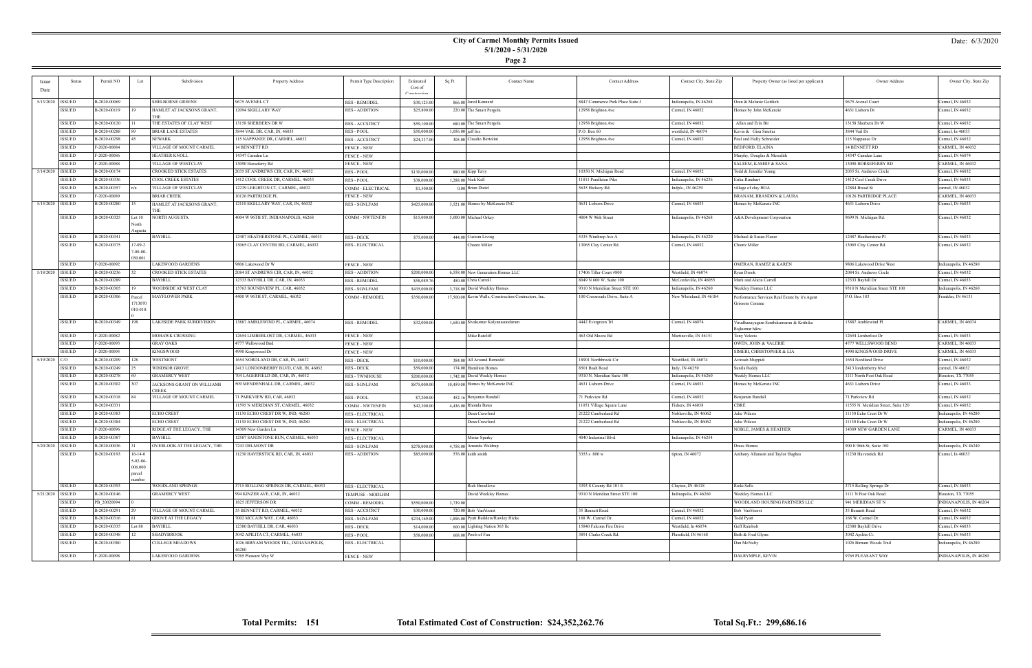### **City of Carmel Monthly Permits Issued 5/1/2020 - 5/31/2020**

**Page 2**

### Date: 6/3/2020

|                    | Status                         | Permit NO                    | Lot                        | Subdivision                                      | Property Address                                | Permit Type Description | Estimated    | Sq Ft    | <b>Contact Name</b>                                   | <b>Contact Address</b>           | Contact City, State Zip | Property Owner (as listed per applicant)       | Owner Address                            | Owner City, State Zip                |
|--------------------|--------------------------------|------------------------------|----------------------------|--------------------------------------------------|-------------------------------------------------|-------------------------|--------------|----------|-------------------------------------------------------|----------------------------------|-------------------------|------------------------------------------------|------------------------------------------|--------------------------------------|
| Date               |                                |                              |                            |                                                  |                                                 |                         | Cost of      |          |                                                       |                                  |                         |                                                |                                          |                                      |
|                    |                                |                              |                            |                                                  |                                                 |                         | Construction |          |                                                       |                                  |                         |                                                |                                          |                                      |
| 5/13/2020 ISSUED   |                                | B-2020-00069                 |                            | <b>SHELBORNE GREENE</b>                          | 9675 AVENEL CT                                  | <b>RES - REMODEL</b>    | \$30,125.0   |          | 866.00 Jared Kennard                                  | 8847 Commerce Park Place Suite J | Indianapolis, IN 46268  | Oren & Melanie Gottlieb                        | 9675 Avenel Court                        | Carmel, IN 46032                     |
|                    | <b>ISSUED</b>                  | B-2020-00119                 |                            | HAMLET AT JACKSONS GRANT,                        | 12094 SIGILLARY WAY                             | <b>RES - ADDITION</b>   | \$25,800.00  |          | 220.00 The Smart Pergola                              | 12958 Brighton Ave               | Carmel, IN 46032        | Homes by John McKenzie                         | 4631 Lisborn Dr                          | Carmel, IN 46032                     |
|                    | <b>ISSUED</b>                  | B-2020-00120                 |                            | THE<br>THE ESTATES OF CLAY WEST                  | 13158 SHERBERN DR W                             |                         |              |          | 680.00 The Smart Pergola                              | 12958 Brighton Ave               | Carmel, IN 46032        | Allan and Erin Bir                             | 13158 Sherbern Dr W                      | Carmel, IN 46032                     |
|                    | <b>ISSUED</b>                  | B-2020-00288                 |                            | <b>BRIAR LANE ESTATES</b>                        | 3844 VAIL DR, CAR, IN, 46033                    | <b>RES-ACCSTRCT</b>     | \$59,100.00  |          |                                                       | P.O. Box 60                      | westfield, IN 46074     |                                                | 3844 Vail Dr                             | Carmel, In 46033                     |
|                    |                                |                              |                            |                                                  |                                                 | <b>RES-POOL</b>         | \$50,000.00  |          | $1,056.00$ jeff fox                                   |                                  |                         | Kevin & Gina Smolar                            |                                          |                                      |
|                    | <b>ISSUED</b>                  | B-2020-00298<br>F-2020-00084 |                            | NEWARK<br>VILLAGE OF MOUNT CARMEL                | 115 NAPPANEE DR, CARMEL, 46032<br>14 BENNETT RD | <b>RES-ACCSTRCT</b>     | \$24,337.00  |          | 305.00 Claudio Bertolini                              | 12958 Brighton Ave               | Carmel, IN 46032        | Paul and Holly Schneider                       | 115 Nappanee Dr<br>14 BENNETT RD         | Carmel, IN 46032<br>CARMEL, IN 46032 |
|                    | <b>ISSUED</b>                  |                              |                            |                                                  |                                                 | <b>FENCE - NEW</b>      |              |          |                                                       |                                  |                         | BEDFORD, ELAINA                                |                                          |                                      |
|                    | <b>ISSUED</b><br><b>ISSUED</b> | F-2020-00086                 |                            | <b>HEATHER KNOLL</b>                             | 14347 Camden Ln                                 | <b>FENCE - NEW</b>      |              |          |                                                       |                                  |                         | Murphy, Douglas & Meredith                     | 14347 Camden Lane<br>13090 HORSEFERRY RD | Carmel, IN 46074<br>CARMEL, IN 46032 |
|                    |                                | F-2020-00088                 |                            | VILLAGE OF WESTCLAY                              | 13090 Horseferry Rd                             | <b>FENCE - NEW</b>      |              |          |                                                       |                                  |                         | SALEEM, KASHIF & SANA                          |                                          |                                      |
| 5/14/2020   ISSUED |                                | B-2020-00174                 |                            | CROOKED STICK ESTATES                            | 2035 ST ANDREWS CIR, CAR, IN, 46032             | <b>RES-POOL</b>         | \$130,000.00 |          | 880.00 Kipp Terry                                     | 10350 N. Michigan Road           | Carmel, IN 46032        | Fodd & Jennifer Young                          | 2035 St. Andrews Circle                  | Carmel, IN 46032                     |
|                    | <b>ISSUED</b>                  | B-2020-00336                 |                            | COOL CREEK ESTATES<br><b>VILLAGE OF WESTCLAY</b> | 1412 COOL CREEK DR, CARMEL, 46033               | <b>RES - POOL</b>       | \$38,000.00  |          | 1,288.00 Nick Kell                                    | 11811 Pendleton Pike             | Indianapolis, IN 46236  | Erika Rinehart                                 | 1412 Cool Creek Drive                    | Carmel, IN 46033                     |
|                    | <b>ISSUED</b>                  | B-2020-00357                 |                            |                                                  | 12239 LEIGHTON CT, CARMEL, 46032                | COMM - ELECTRICAL       | \$1,500.00   |          | 0.00 Brian Distel                                     | 5635 Hickory Rd.                 | Indpls., IN 46239       | village of clay HOA                            | 12884 Broad St                           | carmel, IN 46032                     |
|                    | <b>ISSUED</b>                  | F-2020-00089                 |                            | <b>BRIAR CREEK</b>                               | 10126 PARTRIDGE PL                              | <b>FENCE - NEW</b>      |              |          |                                                       |                                  |                         | BRANAM, BRANDON & LAURA                        | 10126 PARTRIDGE PLACE                    | CARMEL, IN 46033                     |
| 5/15/2020   ISSUED |                                | B-2020-00280                 |                            | HAMLET AT JACKSONS GRANT,<br>THE                 | 12110 SIGILLARY WAY, CAR, IN, 46032             | RES - SGNLFAM           | \$425,000.00 |          | 3,521.00 Homes by McKenzie INC                        | 4631 Lisborn Drive               | Carmel, IN 46033        | Homes by McKenzie INC                          | 4631 Lisborn Drive                       | Carmel, IN 46033                     |
|                    | <b>ISSUED</b>                  | B-2020-00325                 | Lot $10$                   | NORTH AUGUSTA                                    | 4004 W 96TH ST, INDIANAPOLIS, 46268             | <b>COMM - NWTENFIN</b>  | \$15,000.00  |          | 5,000.00 Michael Orkey                                | 4004 W 96th Street               | Indianapolis, IN 46268  | A&A Development Corporation                    | 9699 N. Michigan Rd.                     | Carmel, IN 46032                     |
|                    |                                |                              | Vorth                      |                                                  |                                                 |                         |              |          |                                                       |                                  |                         |                                                |                                          |                                      |
|                    |                                |                              | ugusta                     |                                                  |                                                 |                         |              |          |                                                       |                                  |                         |                                                |                                          |                                      |
|                    | <b>ISSUED</b>                  | B-2020-00341                 |                            | <b>BAYHILL</b>                                   | 12487 HEATHERSTONE PL, CARMEL, 46033            | <b>RES - DECK</b>       | \$75,000.00  |          | 444.00 Custom Living                                  | 5335 Winthrop Ave A              | Indianapolis, IN 46220  | Michael & Susan Flener                         | 12487 Heatherstone Pl                    | Carmel, IN 46033                     |
|                    | <b>ISSUED</b>                  | B-2020-00375                 | 17-09-2<br>$7 - 00 - 00 -$ |                                                  | 13065 CLAY CENTER RD, CARMEL, 46032             | <b>RES - ELECTRICAL</b> |              |          | Chantz Miller                                         | 13065 Clay Center Rd.            | Carmel, IN 46032        | Chantz Miller                                  | 13065 Clay Center Rd.                    | Carmel, IN 46032                     |
|                    |                                |                              | 30.001                     |                                                  |                                                 |                         |              |          |                                                       |                                  |                         |                                                |                                          |                                      |
|                    | <b>ISSUED</b>                  | F-2020-00092                 |                            | LAKEWOOD GARDENS                                 | 9806 Lakewood Dr W                              | <b>FENCE - NEW</b>      |              |          |                                                       |                                  |                         | OMERAN, RAMEZ & KAREN                          | 9806 Lakewood Drive West                 | Indianapolis, IN 46280               |
| 5/18/2020 ISSUED   |                                | B-2020-00236                 |                            | CROOKED STICK ESTATES                            | 2084 ST ANDREWS CIR, CAR, IN, 46032             | <b>RES - ADDITION</b>   | \$200,000.00 |          | 6,558.00 New Generation Homes LLC                     | 17406 Tiller Court #800          | Westfield, IN 46074     | Ryan Drook                                     | 2084 St. Andrews Circle                  | Carmel, IN 46032                     |
|                    | ISSUED                         | B-2020-00289                 |                            | <b>BAYHILL</b>                                   | 12333 BAYHILL DR, CAR, IN, 46033                | <b>RES - REMODEL</b>    | \$58,089.76  |          | 450.00 Chris Carroll                                  | 8049 N 600 W, Suite 100          | McCordsville, IN 46055  | Mark and Alicia Correll                        | 12333 Bayhill Dr                         | Carmel, IN 46033                     |
|                    | <b>ISSUED</b>                  | B-2020-00305                 |                            | WOODSIDE AT WEST CLAY                            | 13763 SOUNDVIEW PL, CAR, 46032                  | <b>RES - SGNLFAM</b>    | \$435,000.00 |          | 3,718.00 David Weekley Homes                          | 9310 N Meridiian Street STE 100  | Indianapolis, IN 46260  | Weekley Homes LLC                              | 9310 N Meridiian Street STE 100          | ndianapolis, IN 46260                |
|                    | <b>ISSUED</b>                  | B-2020-00306                 | Parcel                     | <b>MAYFLOWER PARK</b>                            | 4400 W 96TH ST, CARMEL, 46032                   | COMM - REMODEL          | \$350,000.00 |          | 17,500.00 Kevin Walls, Construction Contractors, Inc. | 100 Crossroads Drive, Suite A    | New Whiteland, IN 46184 | Performance Services Real Estate by it's Agent | P.O. Box 183                             | Franklin, IN 46131                   |
|                    |                                |                              | 1713070                    |                                                  |                                                 |                         |              |          |                                                       |                                  |                         | Grissom Comme                                  |                                          |                                      |
|                    |                                |                              | $010 - 010.$               |                                                  |                                                 |                         |              |          |                                                       |                                  |                         |                                                |                                          |                                      |
|                    | ISSUED                         | B-2020-00349                 | 198                        | LAKESIDE PARK SUBDIVISION                        | 13887 AMBLEWIND PL, CARMEL, 46074               | <b>RES - REMODEL</b>    | \$32,000.00  |          | 1,650.00 Sivakumar Kalyanasundaram                    | 4442 Evergreen Trl               | Carmel, IN 46074        | Virudhanayagam Senthikumaran & Krithika        | 13887 Amblewind Pl                       | CARMEL, IN 46074                     |
|                    |                                |                              |                            |                                                  |                                                 |                         |              |          |                                                       |                                  |                         | Rajkumar h&w                                   |                                          |                                      |
|                    | <b>ISSUED</b>                  | F-2020-00082                 |                            | <b>MOHAWK CROSSING</b>                           | 12654 LIMBERLOST DR, CARMEL, 46033              | <b>FENCE - NEW</b>      |              |          | Mike Ratcliff                                         | 463 Old Moore Rd                 | Martinsville, IN 46151  | Tony Velezis                                   | 12654 Limberlost Dr                      | Carmel, IN 46033                     |
|                    | <b>ISSUED</b>                  | F-2020-00093                 |                            | <b>GRAY OAKS</b>                                 | 4777 Wellswood Bnd                              | <b>FENCE - NEW</b>      |              |          |                                                       |                                  |                         | OWEN, JOHN & VALERIE                           | 4777 WELLSWOOD BEND                      | CARMEL, IN 46033                     |
|                    | <b>ISSUED</b>                  | F-2020-00095                 |                            | <b>KINGSWOOD</b>                                 | 4990 Kingswood Dr                               | <b>FENCE - NEW</b>      |              |          |                                                       |                                  |                         | SIMERI, CHRISTOPHER & LIA                      | 4990 KINGSWOOD DRIVE                     | CARMEL, IN 46033                     |
| 5/19/2020 C/O      |                                | B-2020-00209                 |                            | <b>WESTMONT</b>                                  | 1654 NORDLAND DR, CAR, IN, 46032                | <b>RES - DECK</b>       | \$10,000.00  |          | 384.00 All Around Remodel                             | 18901 Northbrook Cir             | Westfiled, IN 46074     | Avinash Muppidi                                | 1654 Nordland Drive                      | Carmel, IN 46032                     |
|                    | <b>ISSUED</b>                  | B-2020-00249                 |                            | <b>WINDSOR GROVE</b>                             | 2413 LONDONBERRY BLVD, CAR, IN, 46032           | RES - DECK              | \$59,000.00  |          | 174.00 Hamilton Homes                                 | 8501 Bash Road                   | Indy, IN 46250          | Sunila Reddy                                   | 2413 londonberry blvd                    | carmel, IN 46032                     |
|                    | <b>ISSUED</b>                  | B-2020-00278                 |                            | <b>GRAMERCY WEST</b>                             | 704 LAGERFIELD DR, CAR, IN, 46032               | <b>RES - TWNHOUSE</b>   | \$200,000.00 |          | 1,742.00 David Weekly Homes                           | 9310 N. Meridian Suite 100       | Indianapolis, IN 46260  | Weekly Homes LLC                               | 1111 North Post Oak Road                 | Houston, TX 77055                    |
|                    | <b>ISSUED</b>                  | B-2020-00302                 |                            | JACKSONS GRANT ON WILLIAMS<br>CREEK              | 509 MENDENHALL DR, CARMEL, 46032                | <b>RES - SGNLFAM</b>    | \$875,000.00 |          | 10,459.00 Homes by McKenzie INC                       | 4631 Lisborn Drive               | Carmel, IN 46033        | Homes by McKenzie INC                          | 4631 Lisborn Drive                       | Carmel, IN 46033                     |
|                    | <b>ISSUED</b>                  | B-2020-00318                 |                            | VILLAGE OF MOUNT CARMEL                          | 71 PARKVIEW RD, CAR, 46032                      | <b>RES - POOL</b>       | \$7,200.00   |          | 452.16 Benjamin Randall                               | 71 Parkview Rd.                  | Carmel, IN 46032        | Benjamin Randall                               | 71 Parkview Rd                           | Carmel, IN 46032                     |
|                    | <b>ISSUED</b>                  | B-2020-00331                 |                            |                                                  | 11595 N MERIDIAN ST, CARMEL, 46032              | COMM - NWTENFIN         | \$42,300.00  |          | 4,436.00 Rhonda Bates                                 | 11051 Village Square Lane        | Fishers, IN 46038       | CBRE                                           | 11555 N. Meridian Street, Suite 120      | Carmel, IN 46032                     |
|                    | <b>ISSUED</b>                  | B-2020-00383                 |                            | <b>ECHO CREST</b>                                | 11130 ECHO CREST DR W, IND, 46280               | <b>RES - ELECTRICAL</b> |              |          | Dean Crawford                                         | 21222 Cumberland Rd              | Noblesville, IN 46062   | Julie Wilcox                                   | 11130 Echo Crest Dr W                    | Indianapolis, IN 46280               |
|                    | <b>ISSUED</b>                  | B-2020-00384                 |                            | <b>ECHO CREST</b>                                | 11130 ECHO CREST DR W, IND, 46280               | <b>RES - ELECTRICAL</b> |              |          | Dean Crawford                                         | 21222 Cumberland Rd              | Noblesville, IN 46062   | Julie Wilcox                                   | 11130 Echo Crest Dr W                    | Indianapolis, IN 46280               |
|                    | <b>ISSUED</b>                  | F-2020-00096                 |                            | RIDGE AT THE LEGACY, THE                         | 14309 New Garden Ln                             | <b>FENCE - NEW</b>      |              |          |                                                       |                                  |                         | NOBLE, JAMES & HEATHER                         | 14309 NEW GARDEN LANE                    | CARMEL, IN 46033                     |
|                    | <b>ISSUED</b>                  | B-2020-00387                 |                            | <b>BAYHILL</b>                                   | 12587 SANDSTONE RUN, CARMEL, 46033              | <b>RES - ELECTRICAL</b> |              |          | Mister Sparky                                         | 4040 Industrial Blvd             | Indianapolis, IN 46254  |                                                |                                          |                                      |
| 5/20/2020 ISSUED   |                                | B-2020-00036                 |                            | OVERLOOK AT THE LEGACY, THE                      | 7243 DELMONT DR                                 | RES - SGNLFAM           | \$278,000.00 |          | 4,758.00 Amanda Waldrup                               |                                  |                         | )rees Homes                                    | 900 E 96th St, Suite 100                 | Indianapolis, IN 46240               |
|                    | <b>ISSUED</b>                  | B-2020-00193                 | $16-14-0$                  |                                                  | 11230 HAVERSTICK RD, CAR, IN, 46033             | RES - ADDITION          | \$85,000.00  |          | 576.00 keith smith                                    | 3353 s 800 w                     | tipton, $IN$ 46072      | Anthony Allanson and Taylor Hughes             | 11230 Haverstick Rd                      | Carmel, In 46033                     |
|                    |                                |                              | $5-02-06-$                 |                                                  |                                                 |                         |              |          |                                                       |                                  |                         |                                                |                                          |                                      |
|                    |                                |                              | 006.000                    |                                                  |                                                 |                         |              |          |                                                       |                                  |                         |                                                |                                          |                                      |
|                    |                                |                              | aarcel                     |                                                  |                                                 |                         |              |          |                                                       |                                  |                         |                                                |                                          |                                      |
|                    | ISSUED                         | B-2020-00393                 |                            | WOODLAND SPRINGS                                 | 3715 ROLLING SPRINGS DR, CARMEL, 46033          | RES - ELECTRICAL        |              |          | <b>Rick Breedlove</b>                                 | 3393 S County Rd 101 E           | Clayton, IN 46118       | Ricki Sells                                    | 3715 Rolling Springs Dr                  | Carmel, IN 46033                     |
| 5/21/2020 ISSUED   |                                | B-2020-00146                 |                            | <b>GRAMERCY WEST</b>                             | 994 KINZER AVE, CAR, IN, 46032                  | TEMPUSE - MODLHM        |              |          | David Weekley Homes                                   | 9310 N Meridian Street STE 100   | Indinapolis, IN 46260   | Weekley Homes LLC                              | 1111 N Post Oak Road                     | Houston, TX 77055                    |
|                    | ISSUED                         | PB 20020094                  |                            |                                                  | 1825 JEFFERSON DR                               | COMM - REMODEL          | \$550,000.00 | 3,739.00 |                                                       |                                  |                         | WOODLAND HOUSING PARTNERS LLC                  | 941 MERIDIAN ST N                        | INDIANAPOLIS, IN 46204               |
|                    | ISSUED                         | B-2020-00291                 |                            | VILLAGE OF MOUNT CARMEL                          | 35 BENNETT RD, CARMEL, 46032                    | RES - ACCSTRCT          | \$30,000.00  |          | 720.00 Bob VanVoorst                                  | 35 Bennett Road                  | Carmel, IN 46032        | Bob VanVoorst                                  | 35 Bennett Road                          | Carmel, IN 46032                     |
|                    | <b>ISSUED</b>                  | B-2020-00316                 |                            | <b>GROVE AT THE LEGACY</b>                       | 7002 MCCAIN WAY, CAR, 46033                     | RES - SGNLFAM           | \$234,169.00 |          | 1,896.00 Pyatt Builders/Rawley Hicks                  | 168 W. Carmel Dr.                | Carmel, IN 46032        | Fodd Pyatt                                     | 168 W. Carmel Dr.                        | Carmel, IN 46032                     |
|                    | <b>ISSUED</b>                  | B-2020-00335                 | Lot 88                     | <b>BAYHILL</b>                                   | 12380 BAYHILL DR, CAR, 46033                    | RES - DECK              | \$14,000.00  |          | 600.00 Lighting Nation 365 llc                        | 15840 Falcons Fire Drive         | Westfield, In 46074     | Geff Rainbolt                                  | 12380 Bayhill Drive                      | Carmel, IN 46033                     |
|                    | <b>ISSUED</b>                  | B-2020-00348                 |                            | SHADYBROOK                                       | 3042 APILITA CT, CARMEL, 46033                  | RES - POOL              | \$58,000.00  |          | 668.00 Pools of Fun                                   | 3891 Clarks Creek Rd.            | Plainfield, IN 46168    | Beth & Fred Glynn                              | 3042 Apilita Ct.                         | Carmel, IN 46033                     |
|                    | ISSUED                         | B-2020-00380                 |                            | COLLEGE MEADOWS                                  | 1026 BIRNAM WOODS TRL, INDIANAPOLIS,            | RES - ELECTRICAL        |              |          |                                                       |                                  |                         | Dan McNulty                                    | 1026 Birnam Woods Trail                  | Indianapolis, IN 46280               |
|                    |                                |                              |                            |                                                  | 46280                                           |                         |              |          |                                                       |                                  |                         |                                                |                                          |                                      |
|                    | ISSUED                         | F-2020-00098                 |                            | <b>LAKEWOOD GARDENS</b>                          | 9765 Pleasant Way W                             | <b>FENCE - NEW</b>      |              |          |                                                       |                                  |                         | DALRYMPLE, KEVIN                               | 9765 PLEASANT WAY                        | INDIANAPOLIS, IN 46280               |

÷